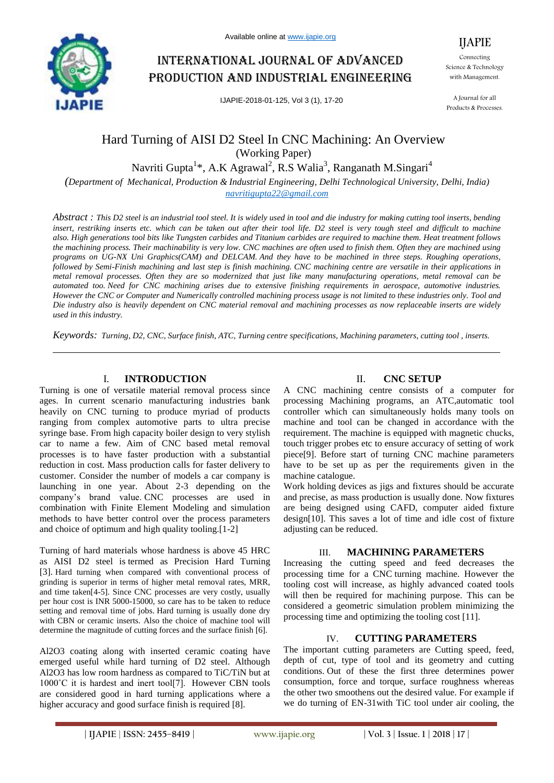

# International journal of advanced production and industrial engineering

IJAPIE-2018-01-125, Vol 3 (1), 17-20

Connecting Science & Technology with Management.

IJAPIE

A Journal for all Products & Processes.

# Hard Turning of AISI D2 Steel In CNC Machining: An Overview (Working Paper)

Navriti Gupta<sup>1</sup>\*, A.K Agrawal<sup>2</sup>, R.S Walia<sup>3</sup>, Ranganath M.Singari<sup>4</sup>

*(Department of Mechanical, Production & Industrial Engineering, Delhi Technological University, Delhi, India) navritigupta22@gmail.com*

*Abstract : This D2 steel is an industrial tool steel. It is widely used in tool and die industry for making cutting tool inserts, bending insert, restriking inserts etc. which can be taken out after their tool life. D2 steel is very tough steel and difficult to machine also. High generations tool bits like Tungsten carbides and Titanium carbides are required to machine them. Heat treatment follows the machining process. Their machinability is very low. CNC machines are often used to finish them. Often they are machined using programs on UG-NX Uni Graphics(CAM) and DELCAM. And they have to be machined in three steps. Roughing operations, followed by Semi-Finish machining and last step is finish machining. CNC machining centre are versatile in their applications in metal removal processes. Often they are so modernized that just like many manufacturing operations, metal removal can be automated too. Need for CNC machining arises due to extensive finishing requirements in aerospace, automotive industries. However the CNC or Computer and Numerically controlled machining process usage is not limited to these industries only. Tool and Die industry also is heavily dependent on CNC material removal and machining processes as now replaceable inserts are widely used in this industry.*

*Keywords: Turning, D2, CNC, Surface finish, ATC, Turning centre specifications, Machining parameters, cutting tool , inserts.*

### I. **INTRODUCTION**

Turning is one of versatile material removal process since ages. In current scenario manufacturing industries bank heavily on CNC turning to produce myriad of products ranging from complex automotive parts to ultra precise syringe base. From high capacity boiler design to very stylish car to name a few. Aim of CNC based metal removal processes is to have faster production with a substantial reduction in cost. Mass production calls for faster delivery to customer. Consider the number of models a car company is launching in one year. About 2-3 depending on the company's brand value. CNC processes are used in combination with Finite Element Modeling and simulation methods to have better control over the process parameters and choice of optimum and high quality tooling.[1-2]

Turning of hard materials whose hardness is above 45 HRC as AISI D2 steel is termed as Precision Hard Turning [3]. Hard turning when compared with conventional process of grinding is superior in terms of higher metal removal rates, MRR, and time taken[4-5]. Since CNC processes are very costly, usually per hour cost is INR 5000-15000, so care has to be taken to reduce setting and removal time of jobs. Hard turning is usually done dry with CBN or ceramic inserts. Also the choice of machine tool will determine the magnitude of cutting forces and the surface finish [6].

Al2O3 coating along with inserted ceramic coating have emerged useful while hard turning of D2 steel. Although Al2O3 has low room hardness as compared to TiC/TiN but at 1000°C it is hardest and inert tool[7]. However CBN tools are considered good in hard turning applications where a higher accuracy and good surface finish is required [8].

### II. **CNC SETUP**

A CNC machining centre consists of a computer for processing Machining programs, an ATC,automatic tool controller which can simultaneously holds many tools on machine and tool can be changed in accordance with the requirement. The machine is equipped with magnetic chucks, touch trigger probes etc to ensure accuracy of setting of work piece[9]. Before start of turning CNC machine parameters have to be set up as per the requirements given in the machine catalogue.

Work holding devices as jigs and fixtures should be accurate and precise, as mass production is usually done. Now fixtures are being designed using CAFD, computer aided fixture design[10]. This saves a lot of time and idle cost of fixture adjusting can be reduced.

### III. **MACHINING PARAMETERS**

Increasing the cutting speed and feed decreases the processing time for a CNC turning machine. However the tooling cost will increase, as highly advanced coated tools will then be required for machining purpose. This can be considered a geometric simulation problem minimizing the processing time and optimizing the tooling cost [11].

### IV. **CUTTING PARAMETERS**

The important cutting parameters are Cutting speed, feed, depth of cut, type of tool and its geometry and cutting conditions. Out of these the first three determines power consumption, force and torque, surface roughness whereas the other two smoothens out the desired value. For example if we do turning of EN-31with TiC tool under air cooling, the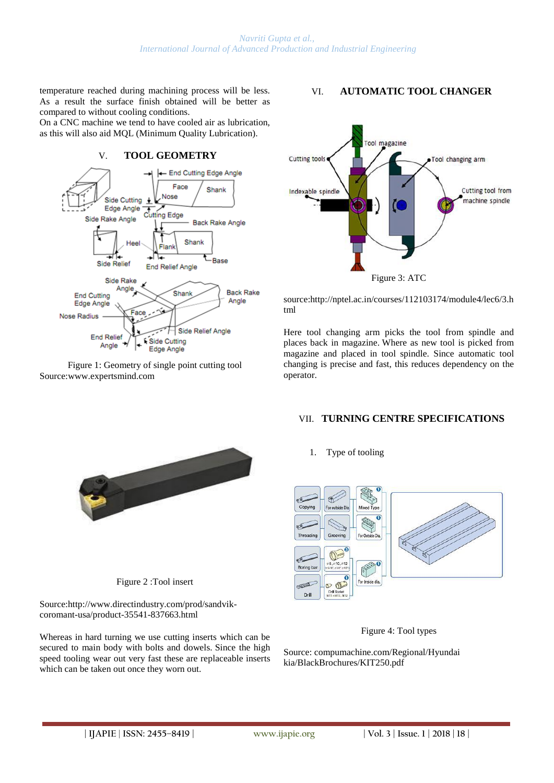temperature reached during machining process will be less. As a result the surface finish obtained will be better as compared to without cooling conditions.

On a CNC machine we tend to have cooled air as lubrication, as this will also aid MQL (Minimum Quality Lubrication).



Figure 1: Geometry of single point cutting tool Source:www.expertsmind.com

# VI. **AUTOMATIC TOOL CHANGER**



source:http://nptel.ac.in/courses/112103174/module4/lec6/3.h tml

Here tool changing arm picks the tool from spindle and places back in magazine. Where as new tool is picked from magazine and placed in tool spindle. Since automatic tool changing is precise and fast, this reduces dependency on the operator.

## VII. **TURNING CENTRE SPECIFICATIONS**

Figure 2 :Tool insert

Source:http://www.directindustry.com/prod/sandvikcoromant-usa/product-35541-837663.html

Whereas in hard turning we use cutting inserts which can be secured to main body with bolts and dowels. Since the high speed tooling wear out very fast these are replaceable inserts which can be taken out once they worn out.

1. Type of tooling





Source: compumachine.com/Regional/Hyundai kia/BlackBrochures/KIT250.pdf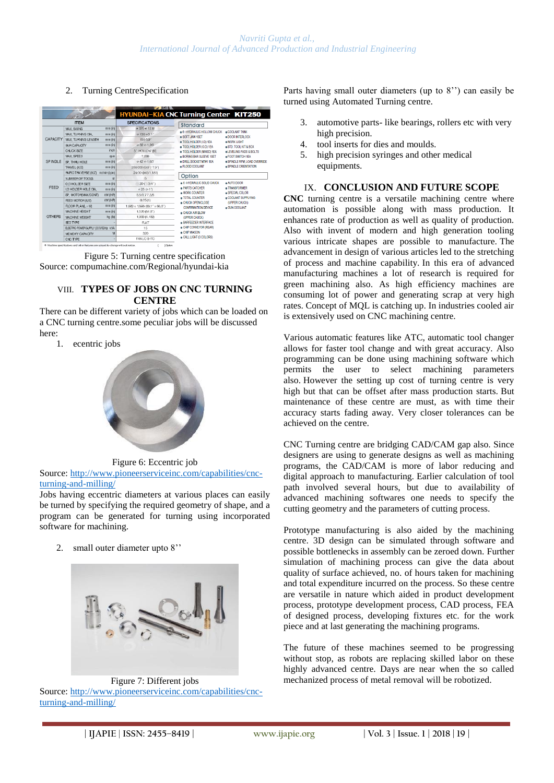### 2. Turning CentreSpecification

| <b>ITEM</b>     |                                      |              | SPECIFICATIONS                  | <b>Standard</b>                                                                                                                                                                                                                                                                                                                                                              |                                                                                                               |
|-----------------|--------------------------------------|--------------|---------------------------------|------------------------------------------------------------------------------------------------------------------------------------------------------------------------------------------------------------------------------------------------------------------------------------------------------------------------------------------------------------------------------|---------------------------------------------------------------------------------------------------------------|
| <b>CAPACITY</b> | MAX SWING                            | mm(n)        | e 320 e 12.6°                   | 6-HYDRAULIC HOLLOW CHUCK<br>COOLANT TANK<br>· SOFT JAW 1SFT<br>.DOOR INTERLOCK<br>· TOOL HOLDER (I.D) 1EA<br>· WORK LIGHT<br>· TOOL HOLDER (O.D) 1EA<br>· STD. TOOL KIT & BOX<br>· TOOL HOLDER (MIXED) 1EA<br><b>eLEVELING PADS &amp; BOLTS</b><br><b>BORING BAR SLEEVE 1SET</b><br>. FOOT SWITCH 1EA<br>· DRILL SOCKET MT#1 1FA<br>· FLOOD COOLANT<br>· SPINDLE ORIENTATION |                                                                                                               |
|                 | MAX TURNING DIA                      | mm(n)        | $0.130051$ "                    |                                                                                                                                                                                                                                                                                                                                                                              | · SPINDLE RPM. LOAD OVERRIDE                                                                                  |
|                 | MAX. TURNING LENGTH                  | $mm$ (in)    | 150.59"                         |                                                                                                                                                                                                                                                                                                                                                                              |                                                                                                               |
|                 | BAR CAPA CITY                        | mm(n)        | 032 0126                        |                                                                                                                                                                                                                                                                                                                                                                              |                                                                                                               |
|                 | CHJCK SIZE                           | inch         | 5" HOLLOW IB1                   |                                                                                                                                                                                                                                                                                                                                                                              |                                                                                                               |
| <b>SPINDLE</b>  | MAX SPEED                            | mm           | 7.000                           |                                                                                                                                                                                                                                                                                                                                                                              |                                                                                                               |
|                 | SP. THRU HOLE                        | mm(n)        | 042 0165                        |                                                                                                                                                                                                                                                                                                                                                                              |                                                                                                               |
|                 | TRAVEL (X/Z)                         | mm(h)        | 250/200 (9.8"/ 7.9")            |                                                                                                                                                                                                                                                                                                                                                                              |                                                                                                               |
|                 | FAPID TFAVERSE (X/Z)<br>m/min(im)    |              | 24/30 045/1.181)                |                                                                                                                                                                                                                                                                                                                                                                              |                                                                                                               |
| FEED            | NUMBER OF TOOLS                      | $\mathbf{S}$ | 5                               | Option                                                                                                                                                                                                                                                                                                                                                                       |                                                                                                               |
|                 | O D HOLDER SIZE                      | mm(m)        | $\Box$ 20 $( \Box 3/4^{\circ})$ | A 6-HYDRAULIC SOLID CHUCK<br>· PARTS CATCHER<br>. WORK COUNTER<br>· TOTAL COUNTER<br>CHUCK OPENICLOSE<br><b>CONFIRMATION DEVICE</b><br>· CHUCK AIR BLOW<br>(UPPER CHUCK)                                                                                                                                                                                                     | AUTO DOOR<br><b>• TRANSFORMER</b><br>· SPECIAL COLOR<br>. COOLANT SUPPLYING<br>(UPPER CHUCK)<br>· GUN COOLANT |
|                 | <b>I.D HOLDER HOLE DIA.</b>          | mm(n)        | 0.25(0.17)                      |                                                                                                                                                                                                                                                                                                                                                                              |                                                                                                               |
|                 | SP. MOTOR(MAX/CONT)                  | KW (HP)      | 55/3773/5                       |                                                                                                                                                                                                                                                                                                                                                                              |                                                                                                               |
| <b>OTHERS</b>   | FEED MOTOR (X/Z)                     | KW (HP)      | 0.75(1)                         |                                                                                                                                                                                                                                                                                                                                                                              |                                                                                                               |
|                 | FLOOR PLANL x W)                     | $mm$ (in)    | 1.680 x 1.696 (66.1" x 66.8")   |                                                                                                                                                                                                                                                                                                                                                                              |                                                                                                               |
|                 | MACHINE HEIGHT                       | mm(n)        | 1.570 (61.8")                   |                                                                                                                                                                                                                                                                                                                                                                              |                                                                                                               |
|                 | MACHINE WEIGHT                       | kg (b)       | 1,900 (4,189)                   |                                                                                                                                                                                                                                                                                                                                                                              |                                                                                                               |
|                 | BED TYPE                             |              | <b>FLAT</b>                     | <b>BARFEEDER INTERFACE</b>                                                                                                                                                                                                                                                                                                                                                   |                                                                                                               |
|                 | ELECTRIC POWER SUPPLY (220V/SEH& KVA |              | 15                              | . CHIP CONVEYOR (REAR)                                                                                                                                                                                                                                                                                                                                                       |                                                                                                               |
|                 | MEMORY CAPACITY                      | M            | 320                             | CHIP WAGON                                                                                                                                                                                                                                                                                                                                                                   |                                                                                                               |
|                 | CNC TYPE                             |              | <b>EANLIC-O-TC-</b>             | . CALL LIGHT (3 COLORS)                                                                                                                                                                                                                                                                                                                                                      |                                                                                                               |

Figure 5: Turning centre specification Source: compumachine.com/Regional/hyundai-kia

### VIII. **TYPES OF JOBS ON CNC TURNING CENTRE**

There can be different variety of jobs which can be loaded on a CNC turning centre.some peculiar jobs will be discussed here:

1. ecentric jobs



Figure 6: Eccentric job

Source[: http://www.pioneerserviceinc.com/capabilities/cnc](http://www.pioneerserviceinc.com/capabilities/cnc-turning-and-milling/)[turning-and-milling/](http://www.pioneerserviceinc.com/capabilities/cnc-turning-and-milling/)

Jobs having eccentric diameters at various places can easily be turned by specifying the required geometry of shape, and a program can be generated for turning using incorporated software for machining.

2. small outer diameter upto 8''



Figure 7: Different jobs Source[: http://www.pioneerserviceinc.com/capabilities/cnc](http://www.pioneerserviceinc.com/capabilities/cnc-turning-and-milling/)[turning-and-milling/](http://www.pioneerserviceinc.com/capabilities/cnc-turning-and-milling/)

Parts having small outer diameters (up to 8'') can easily be turned using Automated Turning centre.

- 3. automotive parts- like bearings, rollers etc with very high precision.
- 4. tool inserts for dies and moulds.
- 5. high precision syringes and other medical equipments.

### IX. **CONCLUSION AND FUTURE SCOPE**

**CNC** turning centre is a versatile machining centre where automation is possible along with mass production. It enhances rate of production as well as quality of production. Also with invent of modern and high generation tooling various intricate shapes are possible to manufacture. The advancement in design of various articles led to the stretching of process and machine capability. In this era of advanced manufacturing machines a lot of research is required for green machining also. As high efficiency machines are consuming lot of power and generating scrap at very high rates. Concept of MQL is catching up. In industries cooled air is extensively used on CNC machining centre.

Various automatic features like ATC, automatic tool changer allows for faster tool change and with great accuracy. Also programming can be done using machining software which permits the user to select machining parameters also. However the setting up cost of turning centre is very high but that can be offset after mass production starts. But maintenance of these centre are must, as with time their accuracy starts fading away. Very closer tolerances can be achieved on the centre.

CNC Turning centre are bridging CAD/CAM gap also. Since designers are using to generate designs as well as machining programs, the CAD/CAM is more of labor reducing and digital approach to manufacturing. Earlier calculation of tool path involved several hours, but due to availability of advanced machining softwares one needs to specify the cutting geometry and the parameters of cutting process.

Prototype manufacturing is also aided by the machining centre. 3D design can be simulated through software and possible bottlenecks in assembly can be zeroed down. Further simulation of machining process can give the data about quality of surface achieved, no. of hours taken for machining and total expenditure incurred on the process. So these centre are versatile in nature which aided in product development process, prototype development process, CAD process, FEA of designed process, developing fixtures etc. for the work piece and at last generating the machining programs.

The future of these machines seemed to be progressing without stop, as robots are replacing skilled labor on these highly advanced centre. Days are near when the so called mechanized process of metal removal will be robotized.